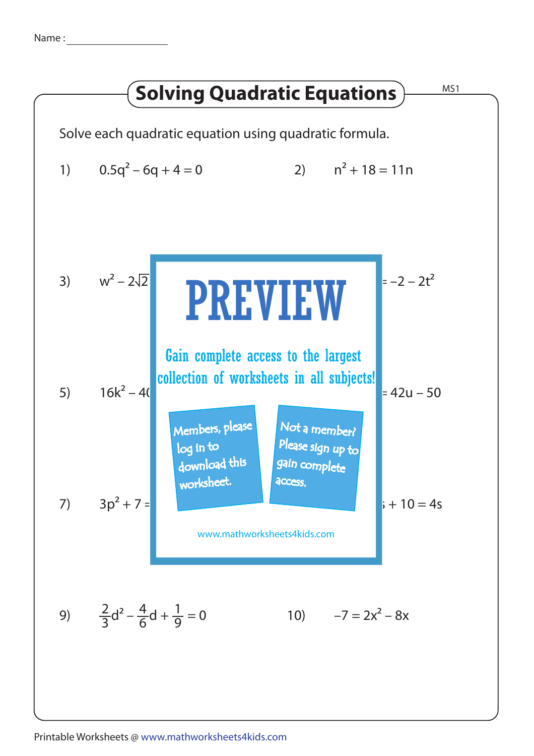